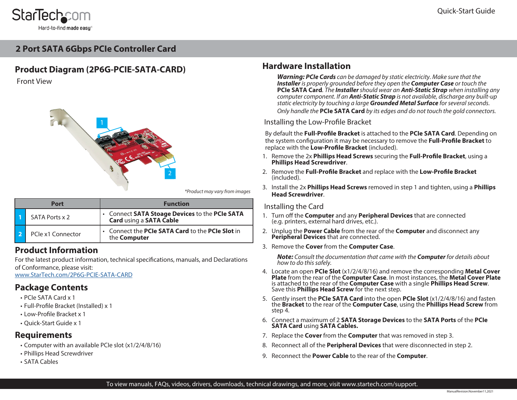# **StarTechcom** Hard-to-find made easy

# **2 Port SATA 6Gbps PCIe Controller Card**

# **Product Diagram (2P6G-PCIE-SATA-CARD)**

Front View



*\*Product may vary from images*

| Port |                   | <b>Function</b>                                                           |  |
|------|-------------------|---------------------------------------------------------------------------|--|
|      | SATA Ports x 2    | • Connect SATA Stoage Devices to the PCIe SATA<br>Card using a SATA Cable |  |
|      | PCIe x1 Connector | • Connect the PCIe SATA Card to the PCIe Slot in<br>the <b>Computer</b>   |  |

## **Product Information**

For the latest product information, technical specifications, manuals, and Declarations of Conformance, please visit:

[www.StarTech.com/](http://www.startech.com/2P6G-PCIE-SATA-CARD)2P6G-PCIE-SATA-CARD

### **Package Contents**

- PCIe SATA Card x 1
- Full-Profile Bracket (Installed) x 1
- Low-Profile Bracket x 1
- Quick-Start Guide x 1

### **Requirements**

- Computer with an available PCIe slot (x1/2/4/8/16)
- Phillips Head Screwdriver
- SATA Cables

## **Hardware Installation**

*Warning: PCIe Cards can be damaged by static electricity. Make sure that the Installer is properly grounded before they open the Computer Case or touch the*  **PCIe SATA Card***. The Installer should wear an Anti-Static Strap when installing any computer component. If an Anti-Static Strap is not available, discharge any built-up static electricity by touching a large Grounded Metal Surface for several seconds. Only handle the* **PCIe SATA Card** *by its edges and do not touch the gold connectors.*

Installing the Low-Profile Bracket

By default the **Full-Profile Bracket** is attached to the **PCIe SATA Card**. Depending on the system configuration it may be necessary to remove the **Full-Profile Bracket** to replace with the **Low-Profile Bracket** (included).

- 1. Remove the 2x **Phillips Head Screws** securing the **Full-Profile Bracket**, using a **Phillips Head Screwdriver**.
- 2. Remove the **Full-Profile Bracket** and replace with the **Low-Profile Bracket**  (included).
- 3. Install the 2x **Phillips Head Screws** removed in step 1 and tighten, using a **Phillips Head Screwdriver**.

### Installing the Card

- 1. Turn off the **Computer** and any **Peripheral Devices** that are connected (e.g. printers, external hard drives, etc.).
- 2. Unplug the **Power Cable** from the rear of the **Computer** and disconnect any **Peripheral Devices** that are connected.
- 3. Remove the **Cover** from the **Computer Case**.

*Note: Consult the documentation that came with the Computer for details about how to do this safely.* 

- 4. Locate an open **PCIe Slot** (x1/2/4/8/16) and remove the corresponding **Metal Cover Plate** from the rear of the **Computer Case**. In most instances, the **Metal Cover Plate** is attached to the rear of the **Computer Case** with a single **Phillips Head Screw**. Save this **Phillips Head Screw** for the next step.
- 5. Gently insert the **PCIe SATA Card** into the open **PCIe Slot** (x1/2/4/8/16) and fasten the **Bracket** to the rear of the **Computer Case**, using the **Phillips Head Screw** from step 4.
- 6. Connect a maximum of 2 **SATA Storage Devices** to the **SATA Ports** of the **PCIe SATA Card** using **SATA Cables.**
- 7. Replace the **Cover** from the **Computer** that was removed in step 3.
- 8. Reconnect all of the **Peripheral Devices** that were disconnected in step 2.
- 9. Reconnect the **Power Cable** to the rear of the **Computer**.